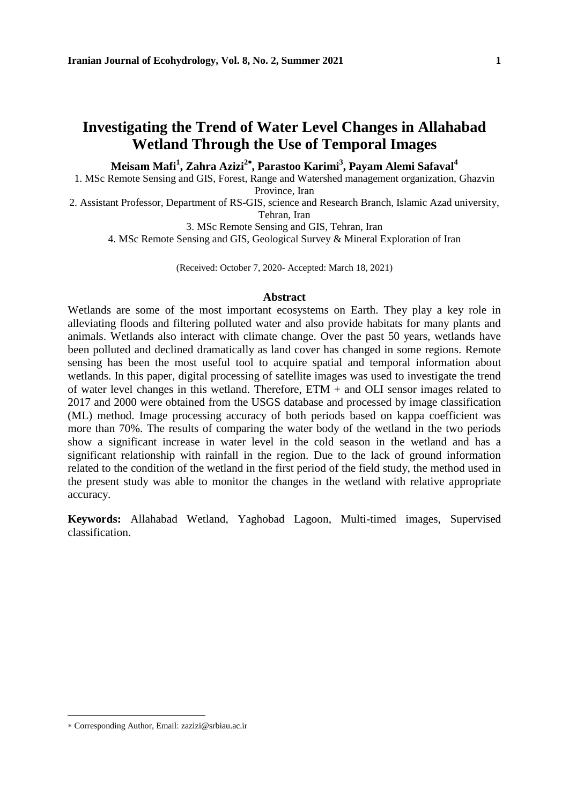# **Investigating the Trend of Water Level Changes in Allahabad Wetland Through the Use of Temporal Images**

### **Meisam Mafi<sup>1</sup> , Zahra Azizi<sup>2</sup> , Parastoo Karimi<sup>3</sup> , Payam Alemi Safaval<sup>4</sup>**

1. MSc Remote Sensing and GIS, Forest, Range and Watershed management organization, Ghazvin

Province, Iran

2. Assistant Professor, Department of RS-GIS, science and Research Branch, Islamic Azad university, Tehran, Iran

3. MSc Remote Sensing and GIS, Tehran, Iran

4. MSc Remote Sensing and GIS, Geological Survey & Mineral Exploration of Iran

(Received: October 7, 2020- Accepted: March 18, 2021)

### **Abstract**

Wetlands are some of the most important ecosystems on Earth. They play a key role in alleviating floods and filtering polluted water and also provide habitats for many plants and animals. Wetlands also interact with climate change. Over the past 50 years, wetlands have been polluted and declined dramatically as land cover has changed in some regions. Remote sensing has been the most useful tool to acquire spatial and temporal information about wetlands. In this paper, digital processing of satellite images was used to investigate the trend of water level changes in this wetland. Therefore, ETM + and OLI sensor images related to 2017 and 2000 were obtained from the USGS database and processed by image classification (ML) method. Image processing accuracy of both periods based on kappa coefficient was more than 70%. The results of comparing the water body of the wetland in the two periods show a significant increase in water level in the cold season in the wetland and has a significant relationship with rainfall in the region. Due to the lack of ground information related to the condition of the wetland in the first period of the field study, the method used in the present study was able to monitor the changes in the wetland with relative appropriate accuracy.

**Keywords:** Allahabad Wetland, Yaghobad Lagoon, Multi-timed images, Supervised classification.

Corresponding Author, Email: zazizi@srbiau.ac.ir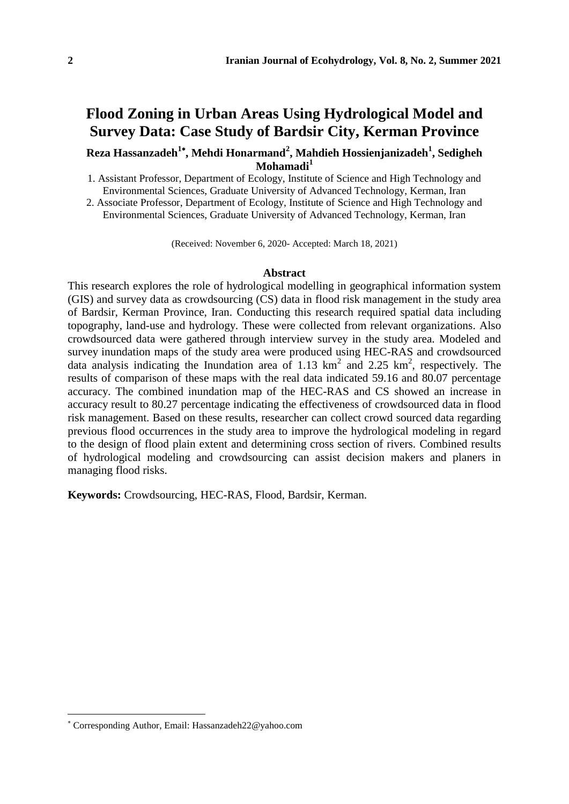# **Flood Zoning in Urban Areas Using Hydrological Model and Survey Data: Case Study of Bardsir City, Kerman Province**

### **Reza Hassanzadeh<sup>1</sup> , Mehdi Honarmand<sup>2</sup> , Mahdieh Hossienjanizadeh<sup>1</sup> , Sedigheh Mohamadi<sup>1</sup>**

1. Assistant Professor, Department of Ecology, Institute of Science and High Technology and Environmental Sciences, Graduate University of Advanced Technology, Kerman, Iran

2. Associate Professor, Department of Ecology, Institute of Science and High Technology and Environmental Sciences, Graduate University of Advanced Technology, Kerman, Iran

(Received: November 6, 2020- Accepted: March 18, 2021)

### **Abstract**

This research explores the role of hydrological modelling in geographical information system (GIS) and survey data as crowdsourcing (CS) data in flood risk management in the study area of Bardsir, Kerman Province, Iran. Conducting this research required spatial data including topography, land-use and hydrology. These were collected from relevant organizations. Also crowdsourced data were gathered through interview survey in the study area. Modeled and survey inundation maps of the study area were produced using HEC-RAS and crowdsourced data analysis indicating the Inundation area of 1.13  $\text{km}^2$  and 2.25  $\text{km}^2$ , respectively. The results of comparison of these maps with the real data indicated 59.16 and 80.07 percentage accuracy. The combined inundation map of the HEC-RAS and CS showed an increase in accuracy result to 80.27 percentage indicating the effectiveness of crowdsourced data in flood risk management. Based on these results, researcher can collect crowd sourced data regarding previous flood occurrences in the study area to improve the hydrological modeling in regard to the design of flood plain extent and determining cross section of rivers. Combined results of hydrological modeling and crowdsourcing can assist decision makers and planers in managing flood risks.

**Keywords:** Crowdsourcing, HEC-RAS, Flood, Bardsir, Kerman.

Corresponding Author, Email: Hassanzadeh22@yahoo.com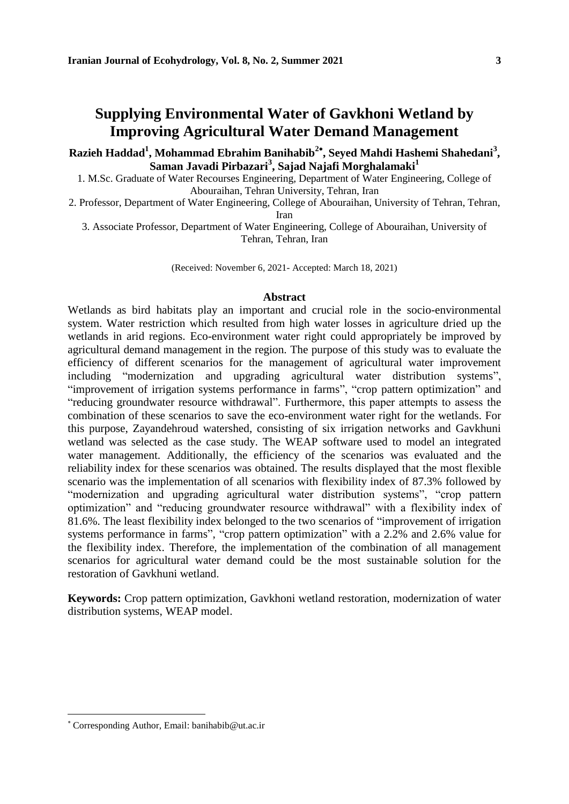# **Supplying Environmental Water of Gavkhoni Wetland by Improving Agricultural Water Demand Management**

**Razieh Haddad<sup>1</sup> , Mohammad Ebrahim Banihabib<sup>2</sup> , Seyed Mahdi Hashemi Shahedani<sup>3</sup> , Saman Javadi Pirbazari<sup>3</sup> , Sajad Najafi Morghalamaki<sup>1</sup>**

1. M.Sc. Graduate of Water Recourses Engineering, Department of Water Engineering, College of Abouraihan, Tehran University, Tehran, Iran

2. Professor, Department of Water Engineering, College of Abouraihan, University of Tehran, Tehran, Iran

3. Associate Professor, Department of Water Engineering, College of Abouraihan, University of Tehran, Tehran, Iran

(Received: November 6, 2021- Accepted: March 18, 2021)

### **Abstract**

Wetlands as bird habitats play an important and crucial role in the socio-environmental system. Water restriction which resulted from high water losses in agriculture dried up the wetlands in arid regions. Eco-environment water right could appropriately be improved by agricultural demand management in the region. The purpose of this study was to evaluate the efficiency of different scenarios for the management of agricultural water improvement including "modernization and upgrading agricultural water distribution systems", "improvement of irrigation systems performance in farms", "crop pattern optimization" and "reducing groundwater resource withdrawal". Furthermore, this paper attempts to assess the combination of these scenarios to save the eco-environment water right for the wetlands. For this purpose, Zayandehroud watershed, consisting of six irrigation networks and Gavkhuni wetland was selected as the case study. The WEAP software used to model an integrated water management. Additionally, the efficiency of the scenarios was evaluated and the reliability index for these scenarios was obtained. The results displayed that the most flexible scenario was the implementation of all scenarios with flexibility index of 87.3% followed by "modernization and upgrading agricultural water distribution systems", "crop pattern optimization" and "reducing groundwater resource withdrawal" with a flexibility index of 81.6%. The least flexibility index belonged to the two scenarios of "improvement of irrigation systems performance in farms", "crop pattern optimization" with a 2.2% and 2.6% value for the flexibility index. Therefore, the implementation of the combination of all management scenarios for agricultural water demand could be the most sustainable solution for the restoration of Gavkhuni wetland.

**Keywords:** Crop pattern optimization, Gavkhoni wetland restoration, modernization of water distribution systems, WEAP model.

Corresponding Author, Email: banihabib@ut.ac.ir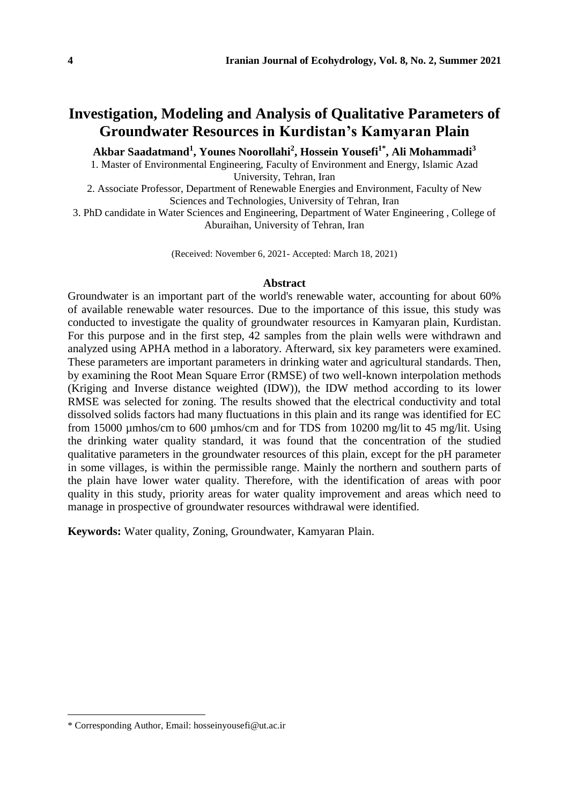# **Investigation, Modeling and Analysis of Qualitative Parameters of Groundwater Resources in Kurdistan's Kamyaran Plain**

**Akbar Saadatmand<sup>1</sup> , Younes Noorollahi<sup>2</sup> , Hossein Yousefi1\* , Ali Mohammadi<sup>3</sup>**

1. Master of Environmental Engineering, Faculty of Environment and Energy, Islamic Azad University, Tehran, Iran

2. Associate Professor, Department of Renewable Energies and Environment, Faculty of New Sciences and Technologies, University of Tehran, Iran

3. PhD candidate in Water Sciences and Engineering, Department of Water Engineering , College of Aburaihan, University of Tehran, Iran

(Received: November 6, 2021- Accepted: March 18, 2021)

#### **Abstract**

Groundwater is an important part of the world's renewable water, accounting for about 60% of available renewable water resources. Due to the importance of this issue, this study was conducted to investigate the quality of groundwater resources in Kamyaran plain, Kurdistan. For this purpose and in the first step, 42 samples from the plain wells were withdrawn and analyzed using APHA method in a laboratory. Afterward, six key parameters were examined. These parameters are important parameters in drinking water and agricultural standards. Then, by examining the Root Mean Square Error (RMSE) of two well-known interpolation methods (Kriging and Inverse distance weighted (IDW)), the IDW method according to its lower RMSE was selected for zoning. The results showed that the electrical conductivity and total dissolved solids factors had many fluctuations in this plain and its range was identified for EC from 15000 µmhos/cm to 600 µmhos/cm and for TDS from 10200 mg/lit to 45 mg/lit. Using the drinking water quality standard, it was found that the concentration of the studied qualitative parameters in the groundwater resources of this plain, except for the pH parameter in some villages, is within the permissible range. Mainly the northern and southern parts of the plain have lower water quality. Therefore, with the identification of areas with poor quality in this study, priority areas for water quality improvement and areas which need to manage in prospective of groundwater resources withdrawal were identified.

**Keywords:** Water quality, Zoning, Groundwater, Kamyaran Plain.

<sup>\*</sup> Corresponding Author, Email: hosseinyousefi@ut.ac.ir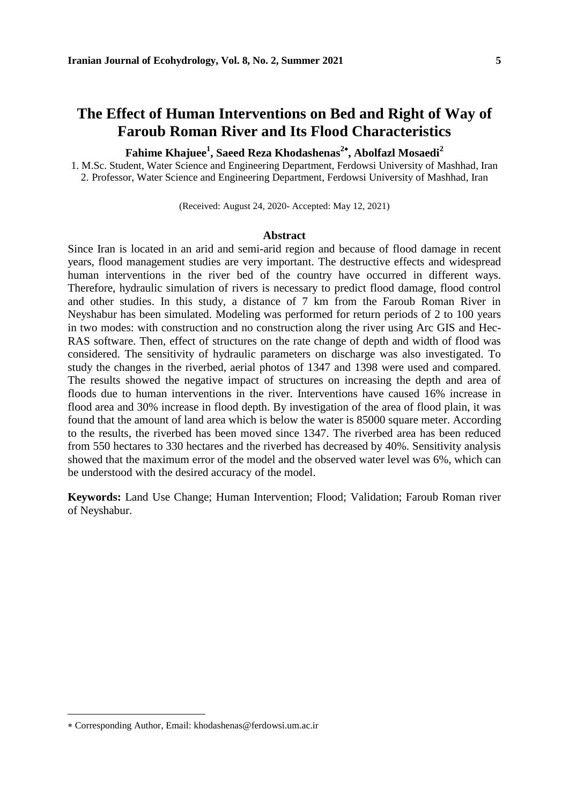# **The Effect of Human Interventions on Bed and Right of Way of Faroub Roman River and Its Flood Characteristics**

**Fahime Khajuee<sup>1</sup> , Saeed Reza Khodashenas<sup>2</sup> , Abolfazl Mosaedi<sup>2</sup>**

1. M.Sc. Student, Water Science and Engineering Department, Ferdowsi University of Mashhad, Iran 2. Professor, Water Science and Engineering Department, Ferdowsi University of Mashhad, Iran

(Received: August 24, 2020- Accepted: May 12, 2021)

### **Abstract**

Since Iran is located in an arid and semi-arid region and because of flood damage in recent years, flood management studies are very important. The destructive effects and widespread human interventions in the river bed of the country have occurred in different ways. Therefore, hydraulic simulation of rivers is necessary to predict flood damage, flood control and other studies. In this study, a distance of 7 km from the Faroub Roman River in Neyshabur has been simulated. Modeling was performed for return periods of 2 to 100 years in two modes: with construction and no construction along the river using Arc GIS and Hec-RAS software. Then, effect of structures on the rate change of depth and width of flood was considered. The sensitivity of hydraulic parameters on discharge was also investigated. To study the changes in the riverbed, aerial photos of 1347 and 1398 were used and compared. The results showed the negative impact of structures on increasing the depth and area of floods due to human interventions in the river. Interventions have caused 16% increase in flood area and 30% increase in flood depth. By investigation of the area of flood plain, it was found that the amount of land area which is below the water is 85000 square meter. According to the results, the riverbed has been moved since 1347. The riverbed area has been reduced from 550 hectares to 330 hectares and the riverbed has decreased by 40%. Sensitivity analysis showed that the maximum error of the model and the observed water level was 6%, which can be understood with the desired accuracy of the model.

**Keywords:** Land Use Change; Human Intervention; Flood; Validation; Faroub Roman river of Neyshabur.

Corresponding Author, Email: khodashenas@ferdowsi.um.ac.ir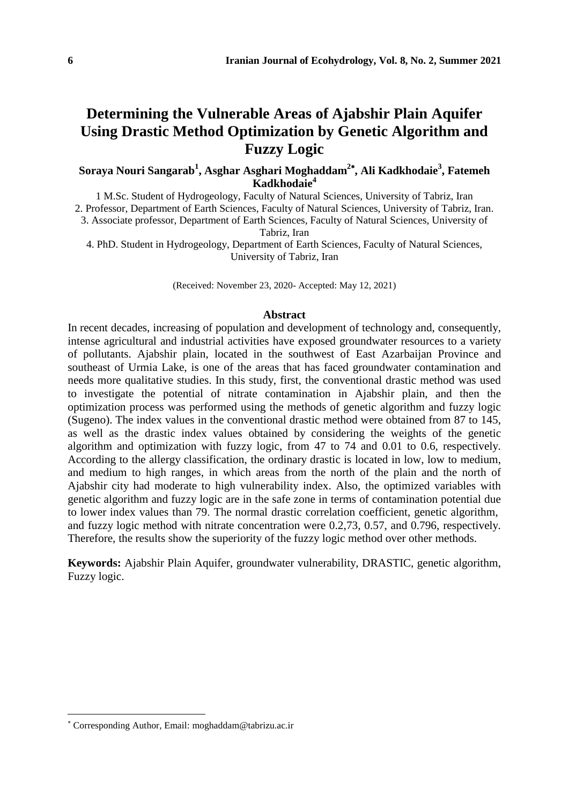# **Determining the Vulnerable Areas of Ajabshir Plain Aquifer Using Drastic Method Optimization by Genetic Algorithm and Fuzzy Logic**

**Soraya Nouri Sangarab<sup>1</sup> , Asghar Asghari Moghaddam<sup>2</sup> , Ali Kadkhodaie<sup>3</sup> , Fatemeh Kadkhodaie<sup>4</sup>**

1 M.Sc. Student of Hydrogeology, Faculty of Natural Sciences, University of Tabriz, Iran 2. Professor, Department of Earth Sciences, Faculty of Natural Sciences, University of Tabriz, Iran. 3. Associate professor, Department of Earth Sciences, Faculty of Natural Sciences, University of

Tabriz, Iran

4. PhD. Student in Hydrogeology, Department of Earth Sciences, Faculty of Natural Sciences, University of Tabriz, Iran

(Received: November 23, 2020- Accepted: May 12, 2021)

### **Abstract**

In recent decades, increasing of population and development of technology and, consequently, intense agricultural and industrial activities have exposed groundwater resources to a variety of pollutants. Ajabshir plain, located in the southwest of East Azarbaijan Province and southeast of Urmia Lake, is one of the areas that has faced groundwater contamination and needs more qualitative studies. In this study, first, the conventional drastic method was used to investigate the potential of nitrate contamination in Ajabshir plain, and then the optimization process was performed using the methods of genetic algorithm and fuzzy logic (Sugeno). The index values in the conventional drastic method were obtained from 87 to 145, as well as the drastic index values obtained by considering the weights of the genetic algorithm and optimization with fuzzy logic, from 47 to 74 and 0.01 to 0.6, respectively. According to the allergy classification, the ordinary drastic is located in low, low to medium, and medium to high ranges, in which areas from the north of the plain and the north of Ajabshir city had moderate to high vulnerability index. Also, the optimized variables with genetic algorithm and fuzzy logic are in the safe zone in terms of contamination potential due to lower index values than 79. The normal drastic correlation coefficient, genetic algorithm, and fuzzy logic method with nitrate concentration were 0.2,73, 0.57, and 0.796, respectively. Therefore, the results show the superiority of the fuzzy logic method over other methods.

**Keywords:** Ajabshir Plain Aquifer, groundwater vulnerability, DRASTIC, genetic algorithm, Fuzzy logic.

Corresponding Author, Email: moghaddam@tabrizu.ac.ir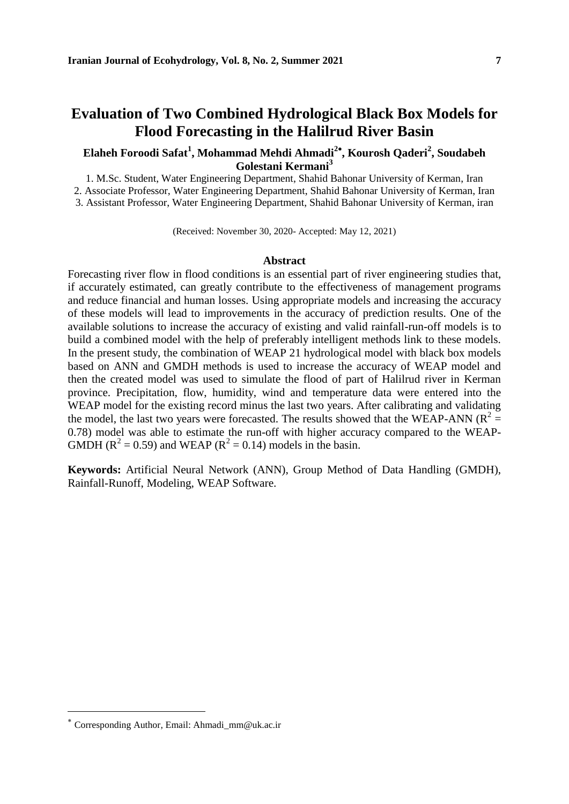# **Evaluation of Two Combined Hydrological Black Box Models for Flood Forecasting in the Halilrud River Basin**

### **Elaheh Foroodi Safat<sup>1</sup> , Mohammad Mehdi Ahmadi<sup>2</sup> , Kourosh Qaderi<sup>2</sup> , Soudabeh Golestani Kermani<sup>3</sup>**

1. M.Sc. Student, Water Engineering Department, Shahid Bahonar University of Kerman, Iran

2. Associate Professor, Water Engineering Department, Shahid Bahonar University of Kerman, Iran

3. Assistant Professor, Water Engineering Department, Shahid Bahonar University of Kerman, iran

(Received: November 30, 2020- Accepted: May 12, 2021)

### **Abstract**

Forecasting river flow in flood conditions is an essential part of river engineering studies that, if accurately estimated, can greatly contribute to the effectiveness of management programs and reduce financial and human losses. Using appropriate models and increasing the accuracy of these models will lead to improvements in the accuracy of prediction results. One of the available solutions to increase the accuracy of existing and valid rainfall-run-off models is to build a combined model with the help of preferably intelligent methods link to these models. In the present study, the combination of WEAP 21 hydrological model with black box models based on ANN and GMDH methods is used to increase the accuracy of WEAP model and then the created model was used to simulate the flood of part of Halilrud river in Kerman province. Precipitation, flow, humidity, wind and temperature data were entered into the WEAP model for the existing record minus the last two years. After calibrating and validating the model, the last two years were forecasted. The results showed that the WEAP-ANN ( $R^2$  = 0.78) model was able to estimate the run-off with higher accuracy compared to the WEAP-GMDH ( $R^2 = 0.59$ ) and WEAP ( $R^2 = 0.14$ ) models in the basin.

**Keywords:** Artificial Neural Network (ANN), Group Method of Data Handling (GMDH), Rainfall-Runoff, Modeling, WEAP Software.

 $\overline{a}$ 

Corresponding Author, Email: Ahmadi\_mm@uk.ac.ir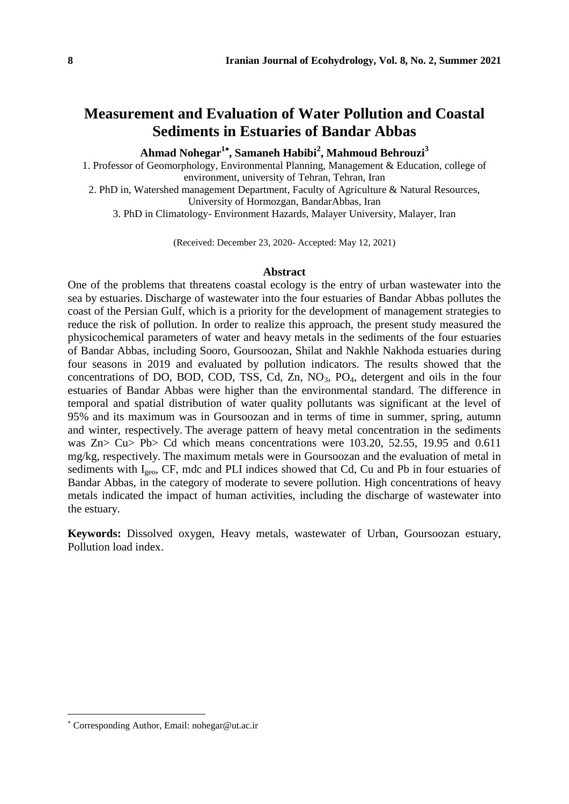# **Measurement and Evaluation of Water Pollution and Coastal Sediments in Estuaries of Bandar Abbas**

**Ahmad Nohegar<sup>1</sup> , Samaneh Habibi<sup>2</sup> , Mahmoud Behrouzi<sup>3</sup>**

1. Professor of Geomorphology, Environmental Planning, Management & Education, college of environment, university of Tehran, Tehran, Iran

2. PhD in, Watershed management Department, Faculty of Agriculture & Natural Resources, University of Hormozgan, BandarAbbas, Iran

3. PhD in Climatology- Environment Hazards, Malayer University, Malayer, Iran

(Received: December 23, 2020- Accepted: May 12, 2021)

### **Abstract**

One of the problems that threatens coastal ecology is the entry of urban wastewater into the sea by estuaries. Discharge of wastewater into the four estuaries of Bandar Abbas pollutes the coast of the Persian Gulf, which is a priority for the development of management strategies to reduce the risk of pollution. In order to realize this approach, the present study measured the physicochemical parameters of water and heavy metals in the sediments of the four estuaries of Bandar Abbas, including Sooro, Goursoozan, Shilat and Nakhle Nakhoda estuaries during four seasons in 2019 and evaluated by pollution indicators. The results showed that the concentrations of DO, BOD, COD, TSS, Cd, Zn, NO<sub>3</sub>, PO<sub>4</sub>, detergent and oils in the four estuaries of Bandar Abbas were higher than the environmental standard. The difference in temporal and spatial distribution of water quality pollutants was significant at the level of 95% and its maximum was in Goursoozan and in terms of time in summer, spring, autumn and winter, respectively. The average pattern of heavy metal concentration in the sediments was Zn> Cu> Pb> Cd which means concentrations were 103.20, 52.55, 19.95 and 0.611 mg/kg, respectively. The maximum metals were in Goursoozan and the evaluation of metal in sediments with  $I_{\text{geo}}$ , CF, mdc and PLI indices showed that Cd, Cu and Pb in four estuaries of Bandar Abbas, in the category of moderate to severe pollution. High concentrations of heavy metals indicated the impact of human activities, including the discharge of wastewater into the estuary.

**Keywords:** Dissolved oxygen, Heavy metals, wastewater of Urban, Goursoozan estuary, Pollution load index.

Corresponding Author, Email: nohegar@ut.ac.ir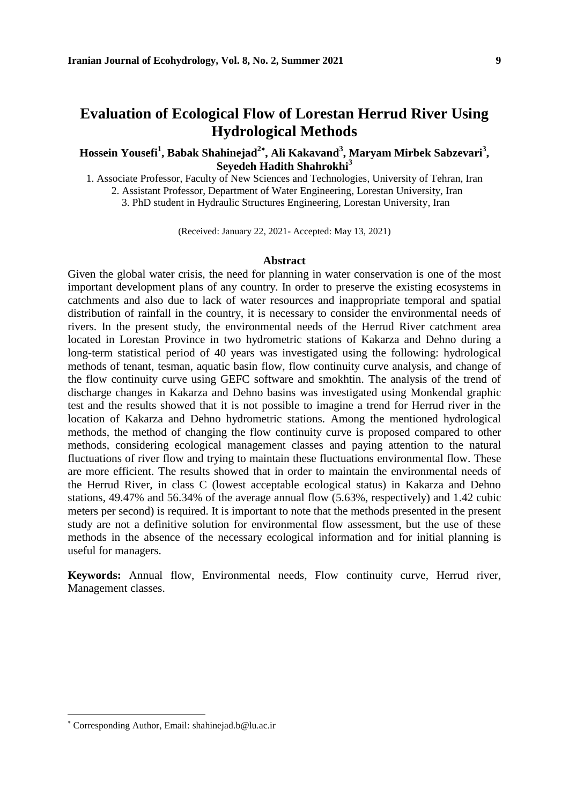# **Evaluation of Ecological Flow of Lorestan Herrud River Using Hydrological Methods**

### **Hossein Yousefi<sup>1</sup> , Babak Shahinejad<sup>2</sup> , Ali Kakavand<sup>3</sup> , Maryam Mirbek Sabzevari<sup>3</sup> , Seyedeh Hadith Shahrokhi<sup>3</sup>**

1. Associate Professor, Faculty of New Sciences and Technologies, University of Tehran, Iran

2. Assistant Professor, Department of Water Engineering, Lorestan University, Iran

3. PhD student in Hydraulic Structures Engineering, Lorestan University, Iran

(Received: January 22, 2021- Accepted: May 13, 2021)

### **Abstract**

Given the global water crisis, the need for planning in water conservation is one of the most important development plans of any country. In order to preserve the existing ecosystems in catchments and also due to lack of water resources and inappropriate temporal and spatial distribution of rainfall in the country, it is necessary to consider the environmental needs of rivers. In the present study, the environmental needs of the Herrud River catchment area located in Lorestan Province in two hydrometric stations of Kakarza and Dehno during a long-term statistical period of 40 years was investigated using the following: hydrological methods of tenant, tesman, aquatic basin flow, flow continuity curve analysis, and change of the flow continuity curve using GEFC software and smokhtin. The analysis of the trend of discharge changes in Kakarza and Dehno basins was investigated using Monkendal graphic test and the results showed that it is not possible to imagine a trend for Herrud river in the location of Kakarza and Dehno hydrometric stations. Among the mentioned hydrological methods, the method of changing the flow continuity curve is proposed compared to other methods, considering ecological management classes and paying attention to the natural fluctuations of river flow and trying to maintain these fluctuations environmental flow. These are more efficient. The results showed that in order to maintain the environmental needs of the Herrud River, in class C (lowest acceptable ecological status) in Kakarza and Dehno stations, 49.47% and 56.34% of the average annual flow (5.63%, respectively) and 1.42 cubic meters per second) is required. It is important to note that the methods presented in the present study are not a definitive solution for environmental flow assessment, but the use of these methods in the absence of the necessary ecological information and for initial planning is useful for managers.

**Keywords:** Annual flow, Environmental needs, Flow continuity curve, Herrud river, Management classes.

Corresponding Author, Email: shahinejad.b@lu.ac.ir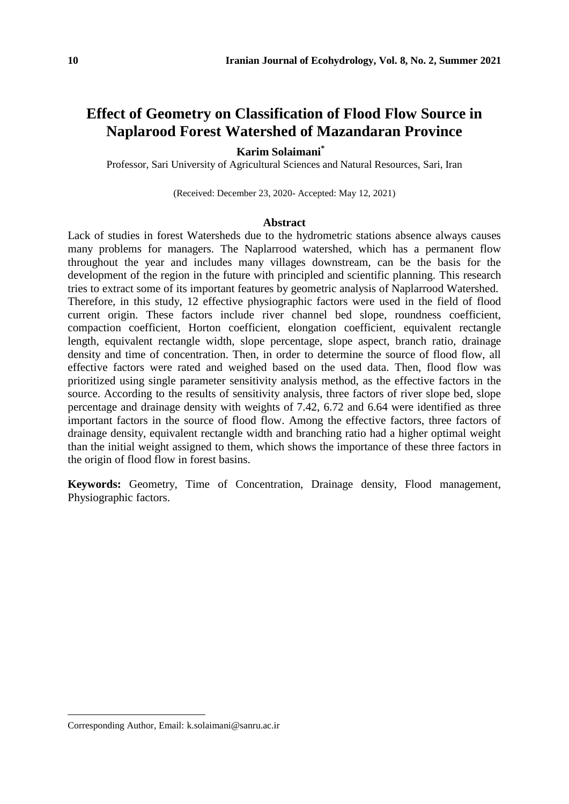# **Effect of Geometry on Classification of Flood Flow Source in Naplarood Forest Watershed of Mazandaran Province**

### **Karim Solaimani\***

Professor, Sari University of Agricultural Sciences and Natural Resources, Sari, Iran

(Received: December 23, 2020- Accepted: May 12, 2021)

#### **Abstract**

Lack of studies in forest Watersheds due to the hydrometric stations absence always causes many problems for managers. The Naplarrood watershed, which has a permanent flow throughout the year and includes many villages downstream, can be the basis for the development of the region in the future with principled and scientific planning. This research tries to extract some of its important features by geometric analysis of Naplarrood Watershed. Therefore, in this study, 12 effective physiographic factors were used in the field of flood current origin. These factors include river channel bed slope, roundness coefficient, compaction coefficient, Horton coefficient, elongation coefficient, equivalent rectangle length, equivalent rectangle width, slope percentage, slope aspect, branch ratio, drainage density and time of concentration. Then, in order to determine the source of flood flow, all effective factors were rated and weighed based on the used data. Then, flood flow was prioritized using single parameter sensitivity analysis method, as the effective factors in the source. According to the results of sensitivity analysis, three factors of river slope bed, slope percentage and drainage density with weights of 7.42, 6.72 and 6.64 were identified as three important factors in the source of flood flow. Among the effective factors, three factors of drainage density, equivalent rectangle width and branching ratio had a higher optimal weight than the initial weight assigned to them, which shows the importance of these three factors in the origin of flood flow in forest basins.

**Keywords:** Geometry, Time of Concentration, Drainage density, Flood management, Physiographic factors.

Corresponding Author, Email: k.solaimani@sanru.ac.ir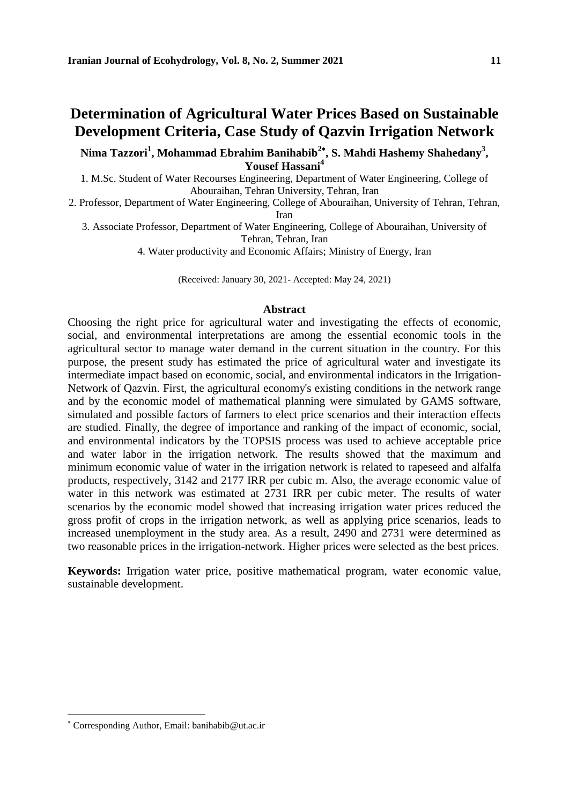# **Determination of Agricultural Water Prices Based on Sustainable Development Criteria, Case Study of Qazvin Irrigation Network**

**Nima Tazzori<sup>1</sup> , Mohammad Ebrahim Banihabib<sup>2</sup> , S. Mahdi Hashemy Shahedany<sup>3</sup> , Yousef Hassani<sup>4</sup>**

1. M.Sc. Student of Water Recourses Engineering, Department of Water Engineering, College of Abouraihan, Tehran University, Tehran, Iran

2. Professor, Department of Water Engineering, College of Abouraihan, University of Tehran, Tehran, Iran

3. Associate Professor, Department of Water Engineering, College of Abouraihan, University of Tehran, Tehran, Iran

4. Water productivity and Economic Affairs; Ministry of Energy, Iran

(Received: January 30, 2021- Accepted: May 24, 2021)

### **Abstract**

Choosing the right price for agricultural water and investigating the effects of economic, social, and environmental interpretations are among the essential economic tools in the agricultural sector to manage water demand in the current situation in the country. For this purpose, the present study has estimated the price of agricultural water and investigate its intermediate impact based on economic, social, and environmental indicators in the Irrigation-Network of Qazvin. First, the agricultural economy's existing conditions in the network range and by the economic model of mathematical planning were simulated by GAMS software, simulated and possible factors of farmers to elect price scenarios and their interaction effects are studied. Finally, the degree of importance and ranking of the impact of economic, social, and environmental indicators by the TOPSIS process was used to achieve acceptable price and water labor in the irrigation network. The results showed that the maximum and minimum economic value of water in the irrigation network is related to rapeseed and alfalfa products, respectively, 3142 and 2177 IRR per cubic m. Also, the average economic value of water in this network was estimated at 2731 IRR per cubic meter. The results of water scenarios by the economic model showed that increasing irrigation water prices reduced the gross profit of crops in the irrigation network, as well as applying price scenarios, leads to increased unemployment in the study area. As a result, 2490 and 2731 were determined as two reasonable prices in the irrigation-network. Higher prices were selected as the best prices.

**Keywords:** Irrigation water price, positive mathematical program, water economic value, sustainable development.

Corresponding Author, Email: banihabib@ut.ac.ir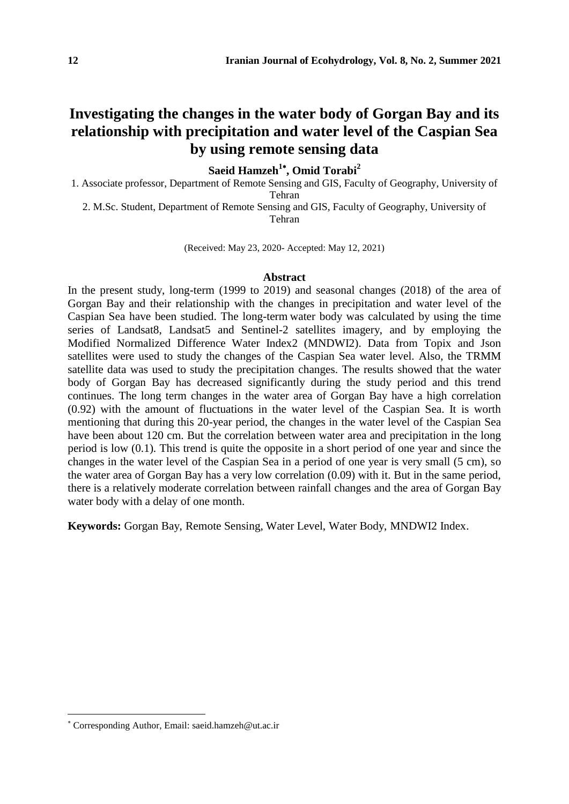# **Investigating the changes in the water body of Gorgan Bay and its relationship with precipitation and water level of the Caspian Sea by using remote sensing data**

**Saeid Hamzeh<sup>1</sup> , Omid Torabi<sup>2</sup>**

1. Associate professor, Department of Remote Sensing and GIS, Faculty of Geography, University of Tehran

2. M.Sc. Student, Department of Remote Sensing and GIS, Faculty of Geography, University of Tehran

(Received: May 23, 2020- Accepted: May 12, 2021)

### **Abstract**

In the present study, long-term (1999 to 2019) and seasonal changes (2018) of the area of Gorgan Bay and their relationship with the changes in precipitation and water level of the Caspian Sea have been studied. The long-term water body was calculated by using the time series of Landsat8, Landsat5 and Sentinel-2 satellites imagery, and by employing the Modified Normalized Difference Water Index2 (MNDWI2). Data from Topix and Json satellites were used to study the changes of the Caspian Sea water level. Also, the TRMM satellite data was used to study the precipitation changes. The results showed that the water body of Gorgan Bay has decreased significantly during the study period and this trend continues. The long term changes in the water area of Gorgan Bay have a high correlation (0.92) with the amount of fluctuations in the water level of the Caspian Sea. It is worth mentioning that during this 20-year period, the changes in the water level of the Caspian Sea have been about 120 cm. But the correlation between water area and precipitation in the long period is low (0.1). This trend is quite the opposite in a short period of one year and since the changes in the water level of the Caspian Sea in a period of one year is very small (5 cm), so the water area of Gorgan Bay has a very low correlation (0.09) with it. But in the same period, there is a relatively moderate correlation between rainfall changes and the area of Gorgan Bay water body with a delay of one month.

**Keywords:** Gorgan Bay, Remote Sensing, Water Level, Water Body, MNDWI2 Index.

Corresponding Author, Email: saeid.hamzeh@ut.ac.ir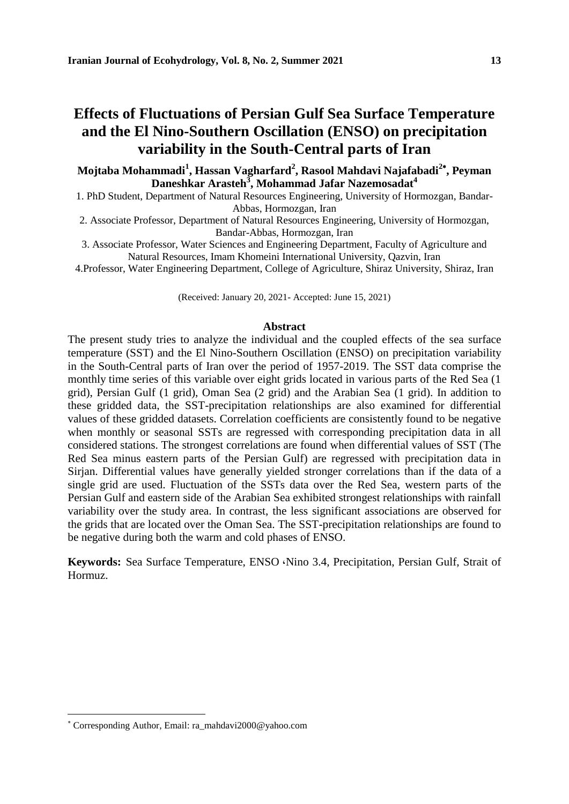# **Effects of Fluctuations of Persian Gulf Sea Surface Temperature and the El Nino-Southern Oscillation (ENSO) on precipitation variability in the South-Central parts of Iran**

**Mojtaba Mohammadi<sup>1</sup> , Hassan Vagharfard<sup>2</sup> , Rasool Mahdavi Najafabadi<sup>2</sup> , Peyman Daneshkar Arasteh<sup>3</sup> , Mohammad Jafar Nazemosadat<sup>4</sup>**

1. PhD Student, Department of Natural Resources Engineering, University of Hormozgan, Bandar-Abbas, Hormozgan, Iran

2. Associate Professor, Department of Natural Resources Engineering, University of Hormozgan, Bandar-Abbas, Hormozgan, Iran

3. Associate Professor, Water Sciences and Engineering Department, Faculty of Agriculture and Natural Resources, Imam Khomeini International University, Qazvin, Iran

4.Professor, Water Engineering Department, College of Agriculture, Shiraz University, Shiraz, Iran

(Received: January 20, 2021- Accepted: June 15, 2021)

#### **Abstract**

The present study tries to analyze the individual and the coupled effects of the sea surface temperature (SST) and the El Nino-Southern Oscillation (ENSO) on precipitation variability in the South-Central parts of Iran over the period of 1957-2019. The SST data comprise the monthly time series of this variable over eight grids located in various parts of the Red Sea (1 grid), Persian Gulf (1 grid), Oman Sea (2 grid) and the Arabian Sea (1 grid). In addition to these gridded data, the SST-precipitation relationships are also examined for differential values of these gridded datasets. Correlation coefficients are consistently found to be negative when monthly or seasonal SSTs are regressed with corresponding precipitation data in all considered stations. The strongest correlations are found when differential values of SST (The Red Sea minus eastern parts of the Persian Gulf) are regressed with precipitation data in Sirjan. Differential values have generally yielded stronger correlations than if the data of a single grid are used. Fluctuation of the SSTs data over the Red Sea, western parts of the Persian Gulf and eastern side of the Arabian Sea exhibited strongest relationships with rainfall variability over the study area. In contrast, the less significant associations are observed for the grids that are located over the Oman Sea. The SST-precipitation relationships are found to be negative during both the warm and cold phases of ENSO.

**Keywords:** Sea Surface Temperature, ENSO ،Nino 3.4, Precipitation, Persian Gulf, Strait of Hormuz.

Corresponding Author, Email: ra\_mahdavi2000@yahoo.com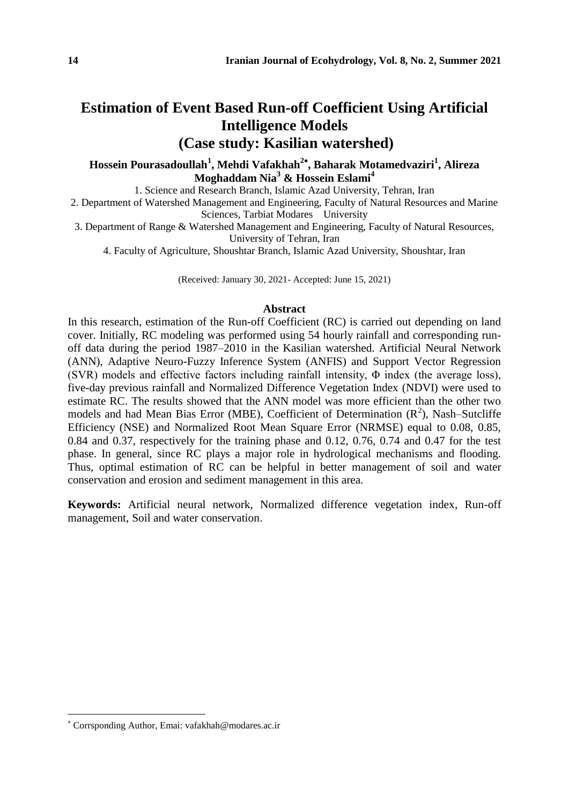# **Estimation of Event Based Run-off Coefficient Using Artificial Intelligence Models (Case study: Kasilian watershed)**

**Hossein Pourasadoullah<sup>1</sup> , Mehdi Vafakhah<sup>2</sup> , Baharak Motamedvaziri<sup>1</sup> , Alireza Moghaddam Nia<sup>3</sup> & Hossein Eslami<sup>4</sup>**

1. Science and Research Branch, Islamic Azad University, Tehran, Iran

2. Department of Watershed Management and Engineering, Faculty of Natural Resources and Marine Sciences, Tarbiat Modares University

3. Department of Range & Watershed Management and Engineering, Faculty of Natural Resources, University of Tehran, Iran

4. Faculty of Agriculture, Shoushtar Branch, Islamic Azad University, Shoushtar, Iran

(Received: January 30, 2021- Accepted: June 15, 2021)

### **Abstract**

In this research, estimation of the Run-off Coefficient (RC) is carried out depending on land cover. Initially, RC modeling was performed using 54 hourly rainfall and corresponding runoff data during the period 1987–2010 in the Kasilian watershed. Artificial Neural Network (ANN), Adaptive Neuro-Fuzzy Inference System (ANFIS) and Support Vector Regression (SVR) models and effective factors including rainfall intensity, Φ index (the average loss), five-day previous rainfall and Normalized Difference Vegetation Index (NDVI) were used to estimate RC. The results showed that the ANN model was more efficient than the other two models and had Mean Bias Error (MBE), Coefficient of Determination  $(R^2)$ , Nash-Sutcliffe Efficiency (NSE) and Normalized Root Mean Square Error (NRMSE) equal to 0.08, 0.85, 0.84 and 0.37, respectively for the training phase and 0.12, 0.76, 0.74 and 0.47 for the test phase. In general, since RC plays a major role in hydrological mechanisms and flooding. Thus, optimal estimation of RC can be helpful in better management of soil and water conservation and erosion and sediment management in this area.

**Keywords:** Artificial neural network, Normalized difference vegetation index, Run-off management, Soil and water conservation.

Corrsponding Author, Emai: vafakhah@modares.ac.ir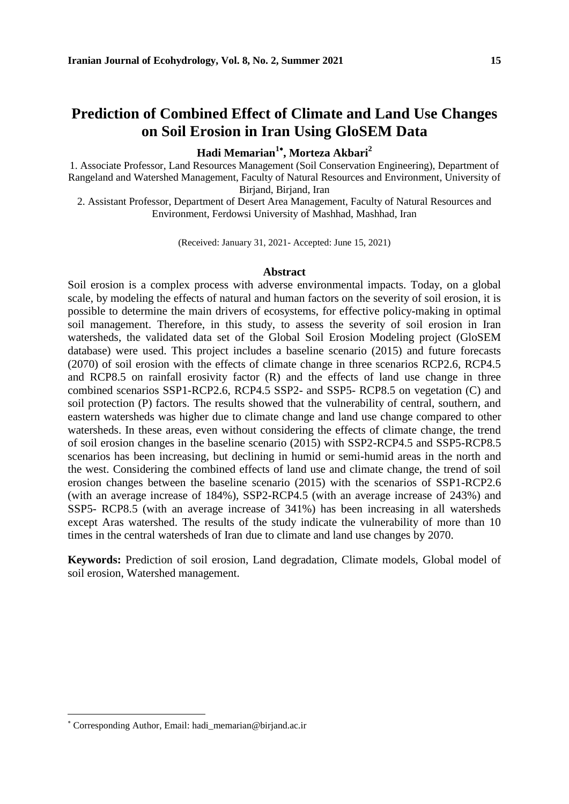# **Prediction of Combined Effect of Climate and Land Use Changes on Soil Erosion in Iran Using GloSEM Data**

**Hadi Memarian<sup>1</sup> , Morteza Akbari<sup>2</sup>**

1. Associate Professor, Land Resources Management (Soil Conservation Engineering), Department of Rangeland and Watershed Management, Faculty of Natural Resources and Environment, University of Birjand, Birjand, Iran

2. Assistant Professor, Department of Desert Area Management, Faculty of Natural Resources and Environment, Ferdowsi University of Mashhad, Mashhad, Iran

(Received: January 31, 2021- Accepted: June 15, 2021)

### **Abstract**

Soil erosion is a complex process with adverse environmental impacts. Today, on a global scale, by modeling the effects of natural and human factors on the severity of soil erosion, it is possible to determine the main drivers of ecosystems, for effective policy-making in optimal soil management. Therefore, in this study, to assess the severity of soil erosion in Iran watersheds, the validated data set of the Global Soil Erosion Modeling project (GloSEM database) were used. This project includes a baseline scenario (2015) and future forecasts (2070) of soil erosion with the effects of climate change in three scenarios RCP2.6, RCP4.5 and RCP8.5 on rainfall erosivity factor (R) and the effects of land use change in three combined scenarios SSP1-RCP2.6, RCP4.5 SSP2- and SSP5- RCP8.5 on vegetation (C) and soil protection (P) factors. The results showed that the vulnerability of central, southern, and eastern watersheds was higher due to climate change and land use change compared to other watersheds. In these areas, even without considering the effects of climate change, the trend of soil erosion changes in the baseline scenario (2015) with SSP2-RCP4.5 and SSP5-RCP8.5 scenarios has been increasing, but declining in humid or semi-humid areas in the north and the west. Considering the combined effects of land use and climate change, the trend of soil erosion changes between the baseline scenario (2015) with the scenarios of SSP1-RCP2.6 (with an average increase of 184%), SSP2-RCP4.5 (with an average increase of 243%) and SSP5- RCP8.5 (with an average increase of 341%) has been increasing in all watersheds except Aras watershed. The results of the study indicate the vulnerability of more than 10 times in the central watersheds of Iran due to climate and land use changes by 2070.

**Keywords:** Prediction of soil erosion, Land degradation, Climate models, Global model of soil erosion, Watershed management.

Corresponding Author, Email: hadi\_memarian@birjand.ac.ir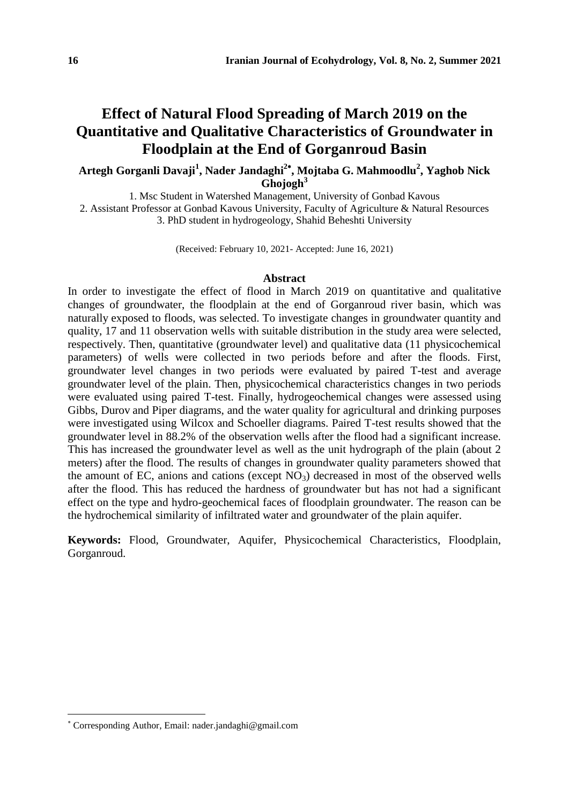# **Effect of Natural Flood Spreading of March 2019 on the Quantitative and Qualitative Characteristics of Groundwater in Floodplain at the End of Gorganroud Basin**

### **Artegh Gorganli Davaji<sup>1</sup> , Nader Jandaghi<sup>2</sup> , Mojtaba G. Mahmoodlu<sup>2</sup> , Yaghob Nick Ghojogh<sup>3</sup>**

1. Msc Student in Watershed Management, University of Gonbad Kavous 2. Assistant Professor at Gonbad Kavous University, Faculty of Agriculture & Natural Resources 3. PhD student in hydrogeology, Shahid Beheshti University

(Received: February 10, 2021- Accepted: June 16, 2021)

#### **Abstract**

In order to investigate the effect of flood in March 2019 on quantitative and qualitative changes of groundwater, the floodplain at the end of Gorganroud river basin, which was naturally exposed to floods, was selected. To investigate changes in groundwater quantity and quality, 17 and 11 observation wells with suitable distribution in the study area were selected, respectively. Then, quantitative (groundwater level) and qualitative data (11 physicochemical parameters) of wells were collected in two periods before and after the floods. First, groundwater level changes in two periods were evaluated by paired T-test and average groundwater level of the plain. Then, physicochemical characteristics changes in two periods were evaluated using paired T-test. Finally, hydrogeochemical changes were assessed using Gibbs, Durov and Piper diagrams, and the water quality for agricultural and drinking purposes were investigated using Wilcox and Schoeller diagrams. Paired T-test results showed that the groundwater level in 88.2% of the observation wells after the flood had a significant increase. This has increased the groundwater level as well as the unit hydrograph of the plain (about 2 meters) after the flood. The results of changes in groundwater quality parameters showed that the amount of EC, anions and cations (except  $NO<sub>3</sub>$ ) decreased in most of the observed wells after the flood. This has reduced the hardness of groundwater but has not had a significant effect on the type and hydro-geochemical faces of floodplain groundwater. The reason can be the hydrochemical similarity of infiltrated water and groundwater of the plain aquifer.

**Keywords:** Flood, Groundwater, Aquifer, Physicochemical Characteristics, Floodplain, Gorganroud.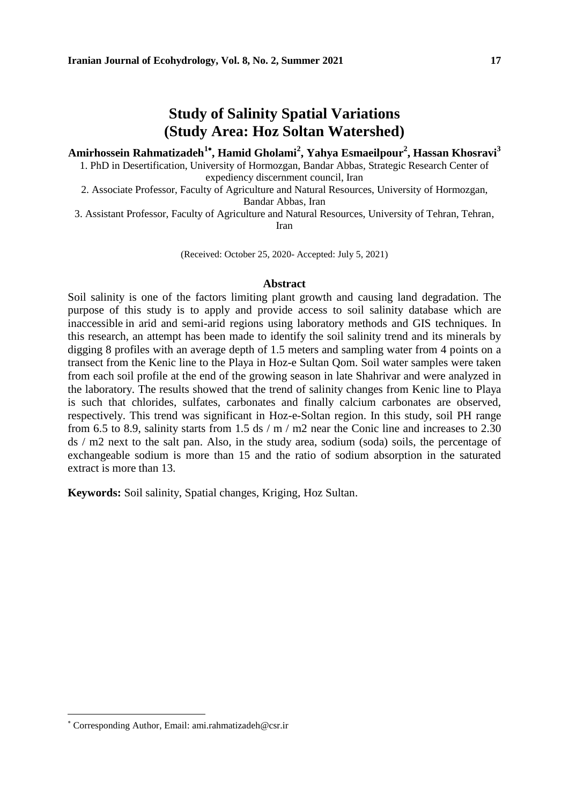### **Amirhossein Rahmatizadeh<sup>1</sup> , Hamid Gholami<sup>2</sup> , Yahya Esmaeilpour<sup>2</sup> , Hassan Khosravi<sup>3</sup>**

1. PhD in Desertification, University of Hormozgan, Bandar Abbas, Strategic Research Center of expediency discernment council, Iran

2. Associate Professor, Faculty of Agriculture and Natural Resources, University of Hormozgan, Bandar Abbas, Iran

3. Assistant Professor, Faculty of Agriculture and Natural Resources, University of Tehran, Tehran,

Iran

(Received: October 25, 2020- Accepted: July 5, 2021)

### **Abstract**

Soil salinity is one of the factors limiting plant growth and causing land degradation. The purpose of this study is to apply and provide access to soil salinity database which are inaccessible in arid and semi-arid regions using laboratory methods and GIS techniques. In this research, an attempt has been made to identify the soil salinity trend and its minerals by digging 8 profiles with an average depth of 1.5 meters and sampling water from 4 points on a transect from the Kenic line to the Playa in Hoz-e Sultan Qom. Soil water samples were taken from each soil profile at the end of the growing season in late Shahrivar and were analyzed in the laboratory. The results showed that the trend of salinity changes from Kenic line to Playa is such that chlorides, sulfates, carbonates and finally calcium carbonates are observed, respectively. This trend was significant in Hoz-e-Soltan region. In this study, soil PH range from 6.5 to 8.9, salinity starts from 1.5 ds / m / m2 near the Conic line and increases to 2.30 ds / m2 next to the salt pan. Also, in the study area, sodium (soda) soils, the percentage of exchangeable sodium is more than 15 and the ratio of sodium absorption in the saturated extract is more than 13.

**Keywords:** Soil salinity, Spatial changes, Kriging, Hoz Sultan.

Corresponding Author, Email: ami.rahmatizadeh@csr.ir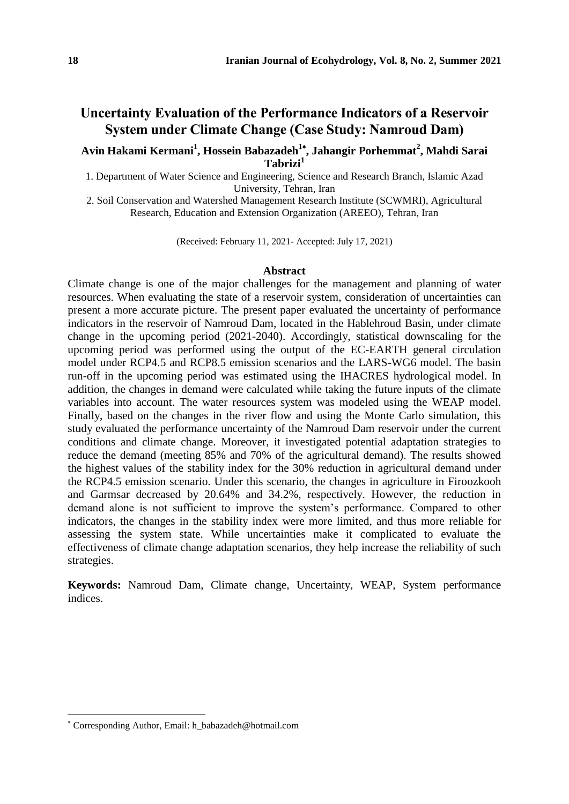## **Uncertainty Evaluation of the Performance Indicators of a Reservoir System under Climate Change (Case Study: Namroud Dam)**

### **Avin Hakami Kermani<sup>1</sup> , Hossein Babazadeh<sup>1</sup> , Jahangir Porhemmat<sup>2</sup> , Mahdi Sarai Tabrizi<sup>1</sup>**

1. Department of Water Science and Engineering, Science and Research Branch, Islamic Azad University, Tehran, Iran

2. Soil Conservation and Watershed Management Research Institute (SCWMRI), Agricultural Research, Education and Extension Organization (AREEO), Tehran, Iran

(Received: February 11, 2021- Accepted: July 17, 2021)

### **Abstract**

Climate change is one of the major challenges for the management and planning of water resources. When evaluating the state of a reservoir system, consideration of uncertainties can present a more accurate picture. The present paper evaluated the uncertainty of performance indicators in the reservoir of Namroud Dam, located in the Hablehroud Basin, under climate change in the upcoming period (2021-2040). Accordingly, statistical downscaling for the upcoming period was performed using the output of the EC-EARTH general circulation model under RCP4.5 and RCP8.5 emission scenarios and the LARS-WG6 model. The basin run-off in the upcoming period was estimated using the IHACRES hydrological model. In addition, the changes in demand were calculated while taking the future inputs of the climate variables into account. The water resources system was modeled using the WEAP model. Finally, based on the changes in the river flow and using the Monte Carlo simulation, this study evaluated the performance uncertainty of the Namroud Dam reservoir under the current conditions and climate change. Moreover, it investigated potential adaptation strategies to reduce the demand (meeting 85% and 70% of the agricultural demand). The results showed the highest values of the stability index for the 30% reduction in agricultural demand under the RCP4.5 emission scenario. Under this scenario, the changes in agriculture in Firoozkooh and Garmsar decreased by 20.64% and 34.2%, respectively. However, the reduction in demand alone is not sufficient to improve the system's performance. Compared to other indicators, the changes in the stability index were more limited, and thus more reliable for assessing the system state. While uncertainties make it complicated to evaluate the effectiveness of climate change adaptation scenarios, they help increase the reliability of such strategies.

**Keywords:** Namroud Dam, Climate change, Uncertainty, WEAP, System performance indices.

Corresponding Author, Email: h\_babazadeh@hotmail.com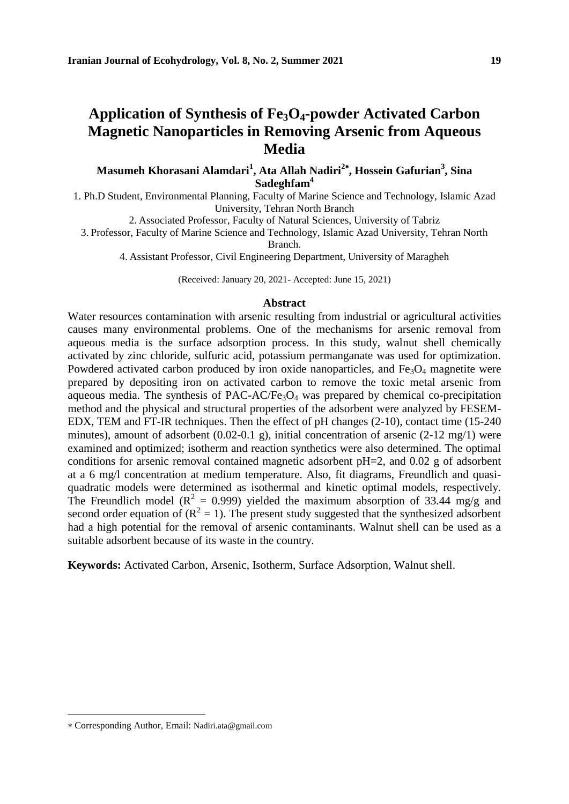# **Application of Synthesis of Fe3O4-powder Activated Carbon Magnetic Nanoparticles in Removing Arsenic from Aqueous Media**

**Masumeh Khorasani Alamdari<sup>1</sup> , Ata Allah Nadiri<sup>2</sup> , Hossein Gafurian<sup>3</sup> , Sina Sadeghfam<sup>4</sup>**

1. Ph.D Student, Environmental Planning, Faculty of Marine Science and Technology, Islamic Azad University, Tehran North Branch

2. Associated Professor, Faculty of Natural Sciences, University of Tabriz

3. Professor, Faculty of Marine Science and Technology, Islamic Azad University, Tehran North

Branch.

4. Assistant Professor, Civil Engineering Department, University of Maragheh

(Received: January 20, 2021- Accepted: June 15, 2021)

### **Abstract**

Water resources contamination with arsenic resulting from industrial or agricultural activities causes many environmental problems. One of the mechanisms for arsenic removal from aqueous media is the surface adsorption process. In this study, walnut shell chemically activated by zinc chloride, sulfuric acid, potassium permanganate was used for optimization. Powdered activated carbon produced by iron oxide nanoparticles, and  $Fe<sub>3</sub>O<sub>4</sub>$  magnetite were prepared by depositing iron on activated carbon to remove the toxic metal arsenic from aqueous media. The synthesis of PAC-AC/Fe<sub>3</sub>O<sub>4</sub> was prepared by chemical co-precipitation method and the physical and structural properties of the adsorbent were analyzed by FESEM-EDX, TEM and FT-IR techniques. Then the effect of pH changes (2-10), contact time (15-240 minutes), amount of adsorbent (0.02-0.1 g), initial concentration of arsenic (2-12 mg/1) were examined and optimized; isotherm and reaction synthetics were also determined. The optimal conditions for arsenic removal contained magnetic adsorbent pH=2, and 0.02 g of adsorbent at a 6 mg/l concentration at medium temperature. Also, fit diagrams, Freundlich and quasiquadratic models were determined as isothermal and kinetic optimal models, respectively. The Freundlich model ( $R^2 = 0.999$ ) yielded the maximum absorption of 33.44 mg/g and second order equation of  $(R^2 = 1)$ . The present study suggested that the synthesized adsorbent had a high potential for the removal of arsenic contaminants. Walnut shell can be used as a suitable adsorbent because of its waste in the country.

**Keywords:** Activated Carbon, Arsenic, Isotherm, Surface Adsorption, Walnut shell.

Corresponding Author, Email: Nadiri.ata@gmail.com